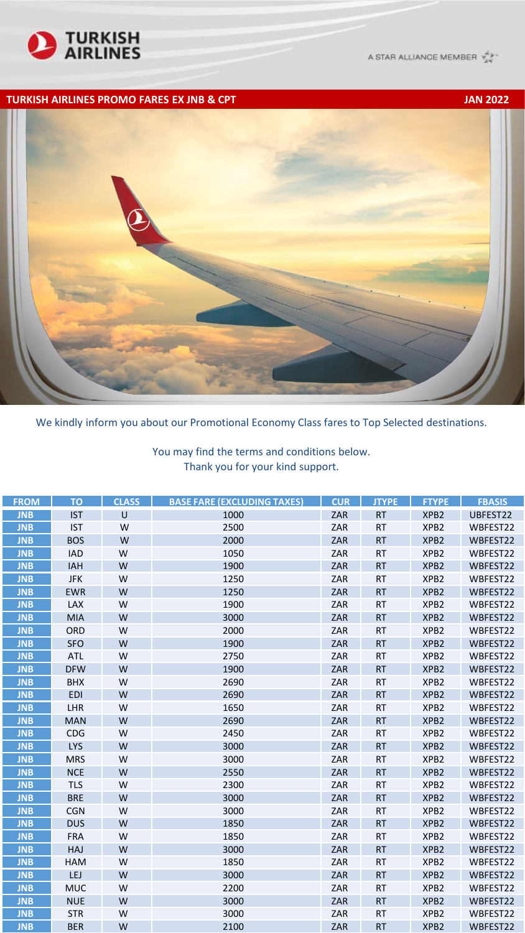

A STAR ALLIANCE MEMBER Y 2

## **TURKISH AIRLINES PROMO FARES EX JNB & CPT JAN 2022**



We kindly inform you about our Promotional Economy Class fares to Top Selected destinations.

You may find the terms and conditions below. Thank you for your kind support.

| <b>FROM</b> | <b>TO</b>  | <b>CLASS</b> | <b>BASE FARE (EXCLUDING TAXES)</b> | <b>CUR</b> | <b>JTYPE</b> | <b>FTYPE</b>     | <b>FBASIS</b> |
|-------------|------------|--------------|------------------------------------|------------|--------------|------------------|---------------|
| <b>JNB</b>  | <b>IST</b> | U            | 1000                               | ZAR        | <b>RT</b>    | XPB <sub>2</sub> | UBFEST22      |
| <b>JNB</b>  | <b>IST</b> | W            | 2500                               | ZAR        | <b>RT</b>    | XPB2             | WBFEST22      |
| <b>JNB</b>  | <b>BOS</b> | W            | 2000                               | ZAR        | <b>RT</b>    | XPB <sub>2</sub> | WBFEST22      |
| <b>JNB</b>  | <b>IAD</b> | W            | 1050                               | ZAR        | <b>RT</b>    | XPB <sub>2</sub> | WBFEST22      |
| <b>JNB</b>  | <b>IAH</b> | W            | 1900                               | ZAR        | <b>RT</b>    | XPB2             | WBFEST22      |
| <b>JNB</b>  | <b>JFK</b> | W            | 1250                               | ZAR        | <b>RT</b>    | XPB2             | WBFEST22      |
| <b>JNB</b>  | <b>EWR</b> | W            | 1250                               | ZAR        | <b>RT</b>    | XPB <sub>2</sub> | WBFEST22      |
| <b>JNB</b>  | LAX        | W            | 1900                               | ZAR        | <b>RT</b>    | XPB <sub>2</sub> | WBFEST22      |
| <b>JNB</b>  | <b>MIA</b> | W            | 3000                               | ZAR        | <b>RT</b>    | XPB <sub>2</sub> | WBFEST22      |
| <b>JNB</b>  | ORD        | W            | 2000                               | ZAR        | <b>RT</b>    | XPB2             | WBFEST22      |
| <b>JNB</b>  | <b>SFO</b> | W            | 1900                               | ZAR        | <b>RT</b>    | XPB <sub>2</sub> | WBFEST22      |
| <b>JNB</b>  | <b>ATL</b> | W            | 2750                               | ZAR        | <b>RT</b>    | XPB2             | WBFEST22      |
| <b>JNB</b>  | <b>DFW</b> | W            | 1900                               | ZAR        | <b>RT</b>    | XPB <sub>2</sub> | WBFEST22      |
| <b>JNB</b>  | <b>BHX</b> | W            | 2690                               | ZAR        | <b>RT</b>    | XPB <sub>2</sub> | WBFEST22      |
| <b>JNB</b>  | <b>EDI</b> | W            | 2690                               | ZAR        | <b>RT</b>    | XPB <sub>2</sub> | WBFEST22      |
| <b>JNB</b>  | <b>LHR</b> | W            | 1650                               | ZAR        | <b>RT</b>    | XPB2             | WBFEST22      |
| <b>JNB</b>  | <b>MAN</b> | W            | 2690                               | ZAR        | <b>RT</b>    | XPB2             | WBFEST22      |
| <b>JNB</b>  | CDG        | W            | 2450                               | ZAR        | <b>RT</b>    | XPB2             | WBFEST22      |
| <b>JNB</b>  | <b>LYS</b> | W            | 3000                               | ZAR        | <b>RT</b>    | XPB <sub>2</sub> | WBFEST22      |
| <b>JNB</b>  | <b>MRS</b> | W            | 3000                               | ZAR        | <b>RT</b>    | XPB <sub>2</sub> | WBFEST22      |
| <b>JNB</b>  | <b>NCE</b> | W            | 2550                               | ZAR        | <b>RT</b>    | XPB <sub>2</sub> | WBFEST22      |
| <b>JNB</b>  | <b>TLS</b> | W            | 2300                               | ZAR        | <b>RT</b>    | XPB2             | WBFEST22      |
| <b>JNB</b>  | <b>BRE</b> | W            | 3000                               | ZAR        | <b>RT</b>    | XPB2             | WBFEST22      |
| <b>JNB</b>  | <b>CGN</b> | W            | 3000                               | ZAR        | <b>RT</b>    | XPB2             | WBFEST22      |
| <b>JNB</b>  | <b>DUS</b> | W            | 1850                               | ZAR        | <b>RT</b>    | XPB <sub>2</sub> | WBFEST22      |
| <b>JNB</b>  | <b>FRA</b> | W            | 1850                               | ZAR        | <b>RT</b>    | XPB <sub>2</sub> | WBFEST22      |
| <b>JNB</b>  | <b>HAJ</b> | W            | 3000                               | ZAR        | <b>RT</b>    | XPB <sub>2</sub> | WBFEST22      |
| <b>JNB</b>  | <b>HAM</b> | W            | 1850                               | ZAR        | <b>RT</b>    | XPB2             | WBFEST22      |
| <b>JNB</b>  | LEJ        | W            | 3000                               | ZAR        | <b>RT</b>    | XPB2             | WBFEST22      |
| <b>JNB</b>  | <b>MUC</b> | W            | 2200                               | ZAR        | <b>RT</b>    | XPB2             | WBFEST22      |
| <b>JNB</b>  | <b>NUE</b> | W            | 3000                               | ZAR        | <b>RT</b>    | XPB <sub>2</sub> | WBFEST22      |
| <b>JNB</b>  | <b>STR</b> | W            | 3000                               | ZAR        | <b>RT</b>    | XPB <sub>2</sub> | WBFEST22      |
| <b>JNB</b>  | <b>BER</b> | W            | 2100                               | ZAR        | <b>RT</b>    | XPB <sub>2</sub> | WBFEST22      |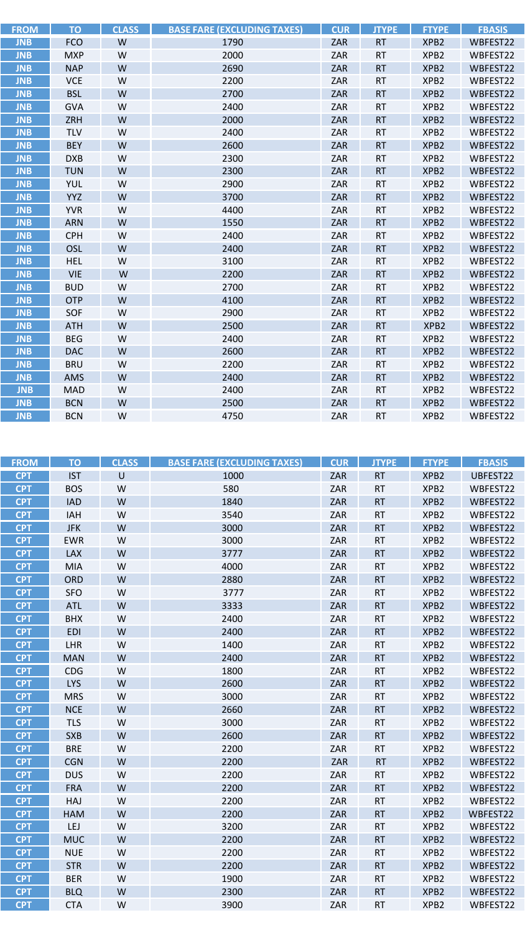| <b>FROM</b> | <b>TO</b>  | <b>CLASS</b> | <b>BASE FARE (EXCLUDING TAXES)</b> | <b>CUR</b> | <b>JTYPE</b> | <b>FTYPE</b>     | <b>FBASIS</b> |
|-------------|------------|--------------|------------------------------------|------------|--------------|------------------|---------------|
| <b>JNB</b>  | <b>FCO</b> | W            | 1790                               | ZAR        | <b>RT</b>    | XPB <sub>2</sub> | WBFEST22      |
| <b>JNB</b>  | <b>MXP</b> | W            | 2000                               | ZAR        | <b>RT</b>    | XPB <sub>2</sub> | WBFEST22      |
| <b>JNB</b>  | <b>NAP</b> | W            | 2690                               | ZAR        | <b>RT</b>    | XPB <sub>2</sub> | WBFEST22      |
| <b>JNB</b>  | <b>VCE</b> | W            | 2200                               | ZAR        | <b>RT</b>    | XPB <sub>2</sub> | WBFEST22      |
| <b>JNB</b>  | <b>BSL</b> | W            | 2700                               | ZAR        | <b>RT</b>    | XPB <sub>2</sub> | WBFEST22      |
| <b>JNB</b>  | <b>GVA</b> | W            | 2400                               | ZAR        | <b>RT</b>    | XPB <sub>2</sub> | WBFEST22      |
| <b>JNB</b>  | ZRH        | W            | 2000                               | ZAR        | <b>RT</b>    | XPB <sub>2</sub> | WBFEST22      |
| <b>JNB</b>  | <b>TLV</b> | W            | 2400                               | ZAR        | <b>RT</b>    | XPB <sub>2</sub> | WBFEST22      |
| <b>JNB</b>  | <b>BEY</b> | W            | 2600                               | ZAR        | <b>RT</b>    | XPB <sub>2</sub> | WBFEST22      |
| <b>JNB</b>  | <b>DXB</b> | W            | 2300                               | ZAR        | <b>RT</b>    | XPB <sub>2</sub> | WBFEST22      |
| <b>JNB</b>  | <b>TUN</b> | W            | 2300                               | ZAR        | <b>RT</b>    | XPB <sub>2</sub> | WBFEST22      |
| <b>JNB</b>  | <b>YUL</b> | W            | 2900                               | ZAR        | <b>RT</b>    | XPB <sub>2</sub> | WBFEST22      |
| <b>JNB</b>  | <b>YYZ</b> | W            | 3700                               | ZAR        | <b>RT</b>    | XPB <sub>2</sub> | WBFEST22      |
| <b>JNB</b>  | <b>YVR</b> | W            | 4400                               | ZAR        | <b>RT</b>    | XPB <sub>2</sub> | WBFEST22      |
| <b>JNB</b>  | <b>ARN</b> | W            | 1550                               | ZAR        | <b>RT</b>    | XPB <sub>2</sub> | WBFEST22      |
| <b>JNB</b>  | <b>CPH</b> | W            | 2400                               | ZAR        | <b>RT</b>    | XPB <sub>2</sub> | WBFEST22      |
| <b>JNB</b>  | OSL        | W            | 2400                               | ZAR        | <b>RT</b>    | XPB <sub>2</sub> | WBFEST22      |
| <b>JNB</b>  | <b>HEL</b> | W            | 3100                               | ZAR        | <b>RT</b>    | XPB2             | WBFEST22      |
| <b>JNB</b>  | <b>VIE</b> | W            | 2200                               | ZAR        | <b>RT</b>    | XPB <sub>2</sub> | WBFEST22      |
| <b>JNB</b>  | <b>BUD</b> | W            | 2700                               | ZAR        | <b>RT</b>    | XPB <sub>2</sub> | WBFEST22      |
| <b>JNB</b>  | <b>OTP</b> | W            | 4100                               | ZAR        | <b>RT</b>    | XPB <sub>2</sub> | WBFEST22      |
| <b>JNB</b>  | SOF        | W            | 2900                               | ZAR        | <b>RT</b>    | XPB <sub>2</sub> | WBFEST22      |
| <b>JNB</b>  | <b>ATH</b> | W            | 2500                               | ZAR        | <b>RT</b>    | XPB <sub>2</sub> | WBFEST22      |
| <b>JNB</b>  | <b>BEG</b> | W            | 2400                               | ZAR        | <b>RT</b>    | XPB <sub>2</sub> | WBFEST22      |
| <b>JNB</b>  | <b>DAC</b> | W            | 2600                               | ZAR        | <b>RT</b>    | XPB <sub>2</sub> | WBFEST22      |
| <b>JNB</b>  | <b>BRU</b> | W            | 2200                               | ZAR        | <b>RT</b>    | XPB <sub>2</sub> | WBFEST22      |
| <b>JNB</b>  | AMS        | W            | 2400                               | ZAR        | <b>RT</b>    | XPB <sub>2</sub> | WBFEST22      |
| <b>JNB</b>  | <b>MAD</b> | W            | 2400                               | ZAR        | <b>RT</b>    | XPB <sub>2</sub> | WBFEST22      |
| <b>JNB</b>  | <b>BCN</b> | W            | 2500                               | ZAR        | <b>RT</b>    | XPB <sub>2</sub> | WBFEST22      |
| <b>JNB</b>  | <b>BCN</b> | W            | 4750                               | ZAR        | <b>RT</b>    | XPB <sub>2</sub> | WBFEST22      |

| <b>FROM</b> | <b>TO</b>  | <b>CLASS</b> | <b>BASE FARE (EXCLUDING TAXES)</b> | <b>CUR</b> | <b>JTYPE</b> | <b>FTYPE</b>     | <b>FBASIS</b> |
|-------------|------------|--------------|------------------------------------|------------|--------------|------------------|---------------|
| <b>CPT</b>  | <b>IST</b> | $\cup$       | 1000                               | ZAR        | <b>RT</b>    | XPB <sub>2</sub> | UBFEST22      |
| <b>CPT</b>  | <b>BOS</b> | W            | 580                                | ZAR        | <b>RT</b>    | XPB2             | WBFEST22      |
| <b>CPT</b>  | <b>IAD</b> | W            | 1840                               | ZAR        | <b>RT</b>    | XPB <sub>2</sub> | WBFEST22      |
| <b>CPT</b>  | IAH        | W            | 3540                               | ZAR        | <b>RT</b>    | XPB2             | WBFEST22      |
| <b>CPT</b>  | <b>JFK</b> | W            | 3000                               | ZAR        | <b>RT</b>    | XPB <sub>2</sub> | WBFEST22      |
| <b>CPT</b>  | <b>EWR</b> | W            | 3000                               | ZAR        | <b>RT</b>    | XPB <sub>2</sub> | WBFEST22      |
| <b>CPT</b>  | LAX        | W            | 3777                               | ZAR        | <b>RT</b>    | XPB <sub>2</sub> | WBFEST22      |
| <b>CPT</b>  | <b>MIA</b> | W            | 4000                               | ZAR        | <b>RT</b>    | XPB2             | WBFEST22      |
| <b>CPT</b>  | ORD        | W            | 2880                               | ZAR        | <b>RT</b>    | XPB <sub>2</sub> | WBFEST22      |
| <b>CPT</b>  | <b>SFO</b> | W            | 3777                               | ZAR        | <b>RT</b>    | XPB2             | WBFEST22      |
| <b>CPT</b>  | <b>ATL</b> | W            | 3333                               | ZAR        | <b>RT</b>    | XPB <sub>2</sub> | WBFEST22      |
| <b>CPT</b>  | <b>BHX</b> | W            | 2400                               | ZAR        | <b>RT</b>    | XPB <sub>2</sub> | WBFEST22      |
| <b>CPT</b>  | <b>EDI</b> | W            | 2400                               | ZAR        | <b>RT</b>    | XPB <sub>2</sub> | WBFEST22      |
| <b>CPT</b>  | LHR        | W            | 1400                               | ZAR        | <b>RT</b>    | XPB2             | WBFEST22      |
| <b>CPT</b>  | <b>MAN</b> | W            | 2400                               | ZAR        | <b>RT</b>    | XPB <sub>2</sub> | WBFEST22      |
| <b>CPT</b>  | <b>CDG</b> | W            | 1800                               | ZAR        | <b>RT</b>    | XPB <sub>2</sub> | WBFEST22      |
| <b>CPT</b>  | <b>LYS</b> | W            | 2600                               | ZAR        | <b>RT</b>    | XPB <sub>2</sub> | WBFEST22      |
| <b>CPT</b>  | <b>MRS</b> | W            | 3000                               | ZAR        | <b>RT</b>    | XPB2             | WBFEST22      |
| <b>CPT</b>  | <b>NCE</b> | W            | 2660                               | ZAR        | <b>RT</b>    | XPB <sub>2</sub> | WBFEST22      |
| <b>CPT</b>  | <b>TLS</b> | W            | 3000                               | ZAR        | <b>RT</b>    | XPB <sub>2</sub> | WBFEST22      |
| <b>CPT</b>  | <b>SXB</b> | W            | 2600                               | ZAR        | <b>RT</b>    | XPB <sub>2</sub> | WBFEST22      |
| <b>CPT</b>  | <b>BRE</b> | W            | 2200                               | ZAR        | <b>RT</b>    | XPB2             | WBFEST22      |
| <b>CPT</b>  | <b>CGN</b> | W            | 2200                               | ZAR        | <b>RT</b>    | XPB <sub>2</sub> | WBFEST22      |
| <b>CPT</b>  | <b>DUS</b> | W            | 2200                               | ZAR        | <b>RT</b>    | XPB <sub>2</sub> | WBFEST22      |
| <b>CPT</b>  | <b>FRA</b> | W            | 2200                               | ZAR        | <b>RT</b>    | XPB <sub>2</sub> | WBFEST22      |
| <b>CPT</b>  | HAJ        | W            | 2200                               | ZAR        | <b>RT</b>    | XPB2             | WBFEST22      |
| <b>CPT</b>  | <b>HAM</b> | W            | 2200                               | ZAR        | <b>RT</b>    | XPB <sub>2</sub> | WBFEST22      |
| <b>CPT</b>  | LEJ        | W            | 3200                               | ZAR        | <b>RT</b>    | XPB <sub>2</sub> | WBFEST22      |
| <b>CPT</b>  | <b>MUC</b> | W            | 2200                               | ZAR        | <b>RT</b>    | XPB <sub>2</sub> | WBFEST22      |
| <b>CPT</b>  | <b>NUE</b> | W            | 2200                               | ZAR        | <b>RT</b>    | XPB2             | WBFEST22      |
| <b>CPT</b>  | <b>STR</b> | W            | 2200                               | ZAR        | <b>RT</b>    | XPB <sub>2</sub> | WBFEST22      |
| <b>CPT</b>  | <b>BER</b> | W            | 1900                               | ZAR        | <b>RT</b>    | XPB <sub>2</sub> | WBFEST22      |
| <b>CPT</b>  | <b>BLQ</b> | W            | 2300                               | ZAR        | <b>RT</b>    | XPB <sub>2</sub> | WBFEST22      |
| <b>CPT</b>  | <b>CTA</b> | W            | 3900                               | ZAR        | <b>RT</b>    | XPB2             | WBFEST22      |